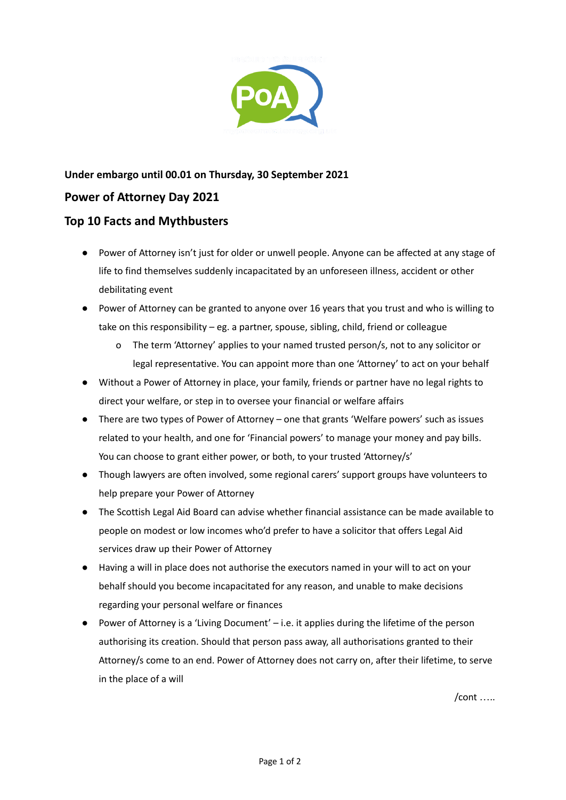

## **Under embargo until 00.01 on Thursday, 30 September 2021 Power of Attorney Day 2021**

## **Top 10 Facts and Mythbusters**

- Power of Attorney isn't just for older or unwell people. Anyone can be affected at any stage of life to find themselves suddenly incapacitated by an unforeseen illness, accident or other debilitating event
- Power of Attorney can be granted to anyone over 16 years that you trust and who is willing to take on this responsibility – eg. a partner, spouse, sibling, child, friend or colleague
	- o The term 'Attorney' applies to your named trusted person/s, not to any solicitor or legal representative. You can appoint more than one 'Attorney' to act on your behalf
- Without a Power of Attorney in place, your family, friends or partner have no legal rights to direct your welfare, or step in to oversee your financial or welfare affairs
- There are two types of Power of Attorney one that grants 'Welfare powers' such as issues related to your health, and one for 'Financial powers' to manage your money and pay bills. You can choose to grant either power, or both, to your trusted 'Attorney/s'
- Though lawyers are often involved, some regional carers' support groups have volunteers to help prepare your Power of Attorney
- The Scottish Legal Aid Board can advise whether financial assistance can be made available to people on modest or low incomes who'd prefer to have a solicitor that offers Legal Aid services draw up their Power of Attorney
- Having a will in place does not authorise the executors named in your will to act on your behalf should you become incapacitated for any reason, and unable to make decisions regarding your personal welfare or finances
- Power of Attorney is a 'Living Document' i.e. it applies during the lifetime of the person authorising its creation. Should that person pass away, all authorisations granted to their Attorney/s come to an end. Power of Attorney does not carry on, after their lifetime, to serve in the place of a will

/cont …..